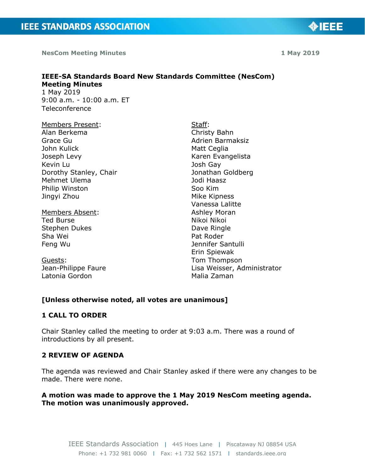**NesCom Meeting Minutes** 

### **IEEE-SA Standards Board New Standards Committee (NesCom) Meeting Minutes**  1 May 2019

9:00 a.m. - 10:00 a.m. ET Teleconference

- Members Present: Alan Berkema Grace Gu John Kulick Joseph Levy Kevin Lu Dorothy Stanley, Chair Mehmet Ulema Philip Winston Jingyi Zhou
- Members Absent: Ted Burse Stephen Dukes Sha Wei Feng Wu

Guests: Jean-Philippe Faure Latonia Gordon

Staff: Christy Bahn Adrien Barmaksiz Matt Ceglia Karen Evangelista Josh Gay Jonathan Goldberg Jodi Haasz Soo Kim Mike Kipness Vanessa Lalitte Ashley Moran Nikoi Nikoi Dave Ringle Pat Roder Jennifer Santulli Erin Spiewak Tom Thompson Lisa Weisser, Administrator Malia Zaman

# **[Unless otherwise noted, all votes are unanimous]**

# **1 CALL TO ORDER**

Chair Stanley called the meeting to order at 9:03 a.m. There was a round of introductions by all present.

# **2 REVIEW OF AGENDA**

The agenda was reviewed and Chair Stanley asked if there were any changes to be made. There were none.

# **A motion was made to approve the 1 May 2019 NesCom meeting agenda. The motion was unanimously approved.**



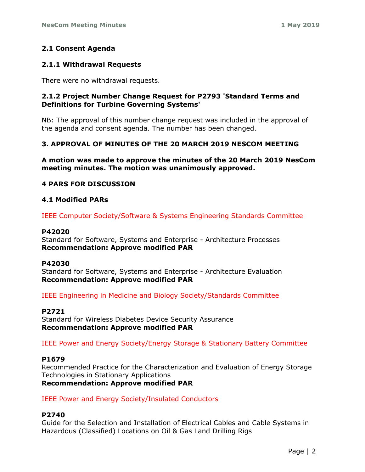# **2.1 Consent Agenda**

### **2.1.1 Withdrawal Requests**

There were no withdrawal requests.

## **2.1.2 Project Number Change Request for P2793 'Standard Terms and Definitions for Turbine Governing Systems'**

NB: The approval of this number change request was included in the approval of the agenda and consent agenda. The number has been changed.

# **3. APPROVAL OF MINUTES OF THE 20 MARCH 2019 NESCOM MEETING**

**A motion was made to approve the minutes of the 20 March 2019 NesCom meeting minutes. The motion was unanimously approved.**

### **4 PARS FOR DISCUSSION**

### **4.1 Modified PARs**

IEEE Computer Society/Software & Systems Engineering Standards Committee

#### **P42020**

Standard for Software, Systems and Enterprise - Architecture Processes **Recommendation: Approve modified PAR**

#### **P42030**

Standard for Software, Systems and Enterprise - Architecture Evaluation **Recommendation: Approve modified PAR**

IEEE Engineering in Medicine and Biology Society/Standards Committee

#### **P2721**

Standard for Wireless Diabetes Device Security Assurance **Recommendation: Approve modified PAR**

IEEE Power and Energy Society/Energy Storage & Stationary Battery Committee

#### **P1679**

Recommended Practice for the Characterization and Evaluation of Energy Storage Technologies in Stationary Applications **Recommendation: Approve modified PAR**

IEEE Power and Energy Society/Insulated Conductors

#### **P2740**

Guide for the Selection and Installation of Electrical Cables and Cable Systems in Hazardous (Classified) Locations on Oil & Gas Land Drilling Rigs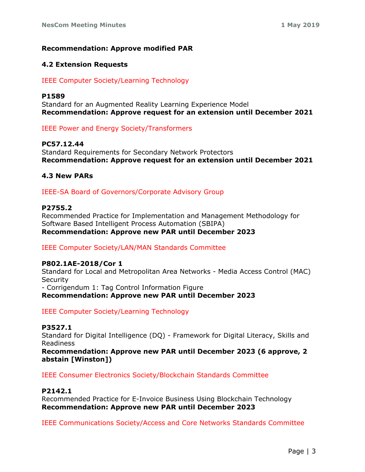# **Recommendation: Approve modified PAR**

### **4.2 Extension Requests**

## IEEE Computer Society/Learning Technology

#### **P1589**

Standard for an Augmented Reality Learning Experience Model **Recommendation: Approve request for an extension until December 2021**

IEEE Power and Energy Society/Transformers

#### **PC57.12.44**

Standard Requirements for Secondary Network Protectors **Recommendation: Approve request for an extension until December 2021**

#### **4.3 New PARs**

IEEE-SA Board of Governors/Corporate Advisory Group

## **P2755.2**

Recommended Practice for Implementation and Management Methodology for Software Based Intelligent Process Automation (SBIPA) **Recommendation: Approve new PAR until December 2023**

IEEE Computer Society/LAN/MAN Standards Committee

#### **P802.1AE-2018/Cor 1**

Standard for Local and Metropolitan Area Networks - Media Access Control (MAC) **Security** - Corrigendum 1: Tag Control Information Figure **Recommendation: Approve new PAR until December 2023**

IEEE Computer Society/Learning Technology

# **P3527.1**

Standard for Digital Intelligence (DQ) - Framework for Digital Literacy, Skills and Readiness

**Recommendation: Approve new PAR until December 2023 (6 approve, 2 abstain [Winston])**

IEEE Consumer Electronics Society/Blockchain Standards Committee

## **P2142.1**

Recommended Practice for E-Invoice Business Using Blockchain Technology **Recommendation: Approve new PAR until December 2023**

IEEE Communications Society/Access and Core Networks Standards Committee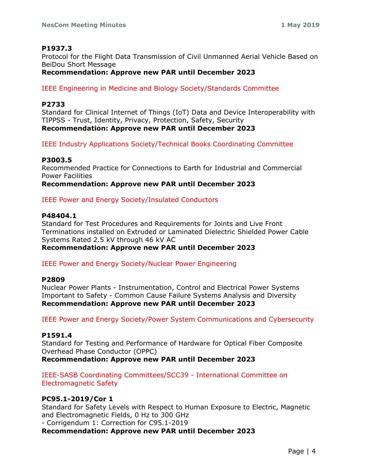# **P1937.3**

Protocol for the Flight Data Transmission of Civil Unmanned Aerial Vehicle Based on BeiDou Short Message

# **Recommendation: Approve new PAR until December 2023**

IEEE Engineering in Medicine and Biology Society/Standards Committee

### **P2733**

Standard for Clinical Internet of Things (IoT) Data and Device Interoperability with TIPPSS - Trust, Identity, Privacy, Protection, Safety, Security **Recommendation: Approve new PAR until December 2023**

IEEE Industry Applications Society/Technical Books Coordinating Committee

### **P3003.5**

Recommended Practice for Connections to Earth for Industrial and Commercial Power Facilities

### **Recommendation: Approve new PAR until December 2023**

### IEEE Power and Energy Society/Insulated Conductors

#### **P48404.1**

Standard for Test Procedures and Requirements for Joints and Live Front Terminations installed on Extruded or Laminated Dielectric Shielded Power Cable Systems Rated 2.5 kV through 46 kV AC **Recommendation: Approve new PAR until December 2023**

IEEE Power and Energy Society/Nuclear Power Engineering

#### **P2809**

Nuclear Power Plants - Instrumentation, Control and Electrical Power Systems Important to Safety - Common Cause Failure Systems Analysis and Diversity **Recommendation: Approve new PAR until December 2023**

IEEE Power and Energy Society/Power System Communications and Cybersecurity

#### **P1591.4**

Standard for Testing and Performance of Hardware for Optical Fiber Composite Overhead Phase Conductor (OPPC)

**Recommendation: Approve new PAR until December 2023**

IEEE-SASB Coordinating Committees/SCC39 - International Committee on Electromagnetic Safety

#### **PC95.1-2019/Cor 1**

Standard for Safety Levels with Respect to Human Exposure to Electric, Magnetic and Electromagnetic Fields, 0 Hz to 300 GHz - Corrigendum 1: Correction for C95.1-2019

**Recommendation: Approve new PAR until December 2023**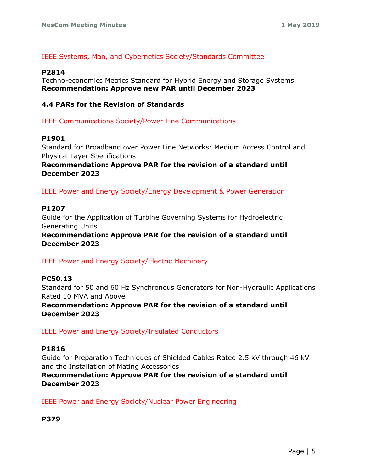## IEEE Systems, Man, and Cybernetics Society/Standards Committee

#### **P2814**

Techno-economics Metrics Standard for Hybrid Energy and Storage Systems **Recommendation: Approve new PAR until December 2023**

### **4.4 PARs for the Revision of Standards**

IEEE Communications Society/Power Line Communications

### **P1901**

Standard for Broadband over Power Line Networks: Medium Access Control and Physical Layer Specifications

## **Recommendation: Approve PAR for the revision of a standard until December 2023**

IEEE Power and Energy Society/Energy Development & Power Generation

### **P1207**

Guide for the Application of Turbine Governing Systems for Hydroelectric Generating Units

**Recommendation: Approve PAR for the revision of a standard until December 2023**

IEEE Power and Energy Society/Electric Machinery

# **PC50.13**

Standard for 50 and 60 Hz Synchronous Generators for Non-Hydraulic Applications Rated 10 MVA and Above

**Recommendation: Approve PAR for the revision of a standard until December 2023**

IEEE Power and Energy Society/Insulated Conductors

#### **P1816**

Guide for Preparation Techniques of Shielded Cables Rated 2.5 kV through 46 kV and the Installation of Mating Accessories

**Recommendation: Approve PAR for the revision of a standard until December 2023**

IEEE Power and Energy Society/Nuclear Power Engineering

**P379**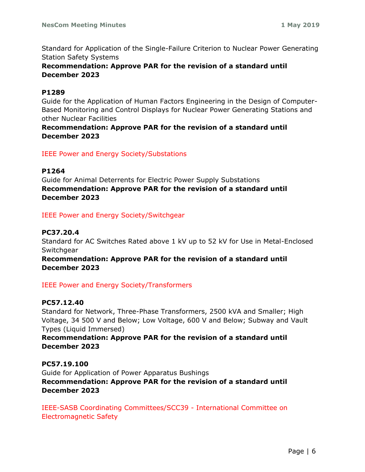Standard for Application of the Single-Failure Criterion to Nuclear Power Generating Station Safety Systems

# **Recommendation: Approve PAR for the revision of a standard until December 2023**

### **P1289**

Guide for the Application of Human Factors Engineering in the Design of Computer-Based Monitoring and Control Displays for Nuclear Power Generating Stations and other Nuclear Facilities

# **Recommendation: Approve PAR for the revision of a standard until December 2023**

# IEEE Power and Energy Society/Substations

## **P1264**

Guide for Animal Deterrents for Electric Power Supply Substations **Recommendation: Approve PAR for the revision of a standard until December 2023**

IEEE Power and Energy Society/Switchgear

# **PC37.20.4**

Standard for AC Switches Rated above 1 kV up to 52 kV for Use in Metal-Enclosed **Switchgear** 

# **Recommendation: Approve PAR for the revision of a standard until December 2023**

# IEEE Power and Energy Society/Transformers

# **PC57.12.40**

Standard for Network, Three-Phase Transformers, 2500 kVA and Smaller; High Voltage, 34 500 V and Below; Low Voltage, 600 V and Below; Subway and Vault Types (Liquid Immersed)

# **Recommendation: Approve PAR for the revision of a standard until December 2023**

**PC57.19.100** Guide for Application of Power Apparatus Bushings **Recommendation: Approve PAR for the revision of a standard until December 2023**

IEEE-SASB Coordinating Committees/SCC39 - International Committee on Electromagnetic Safety